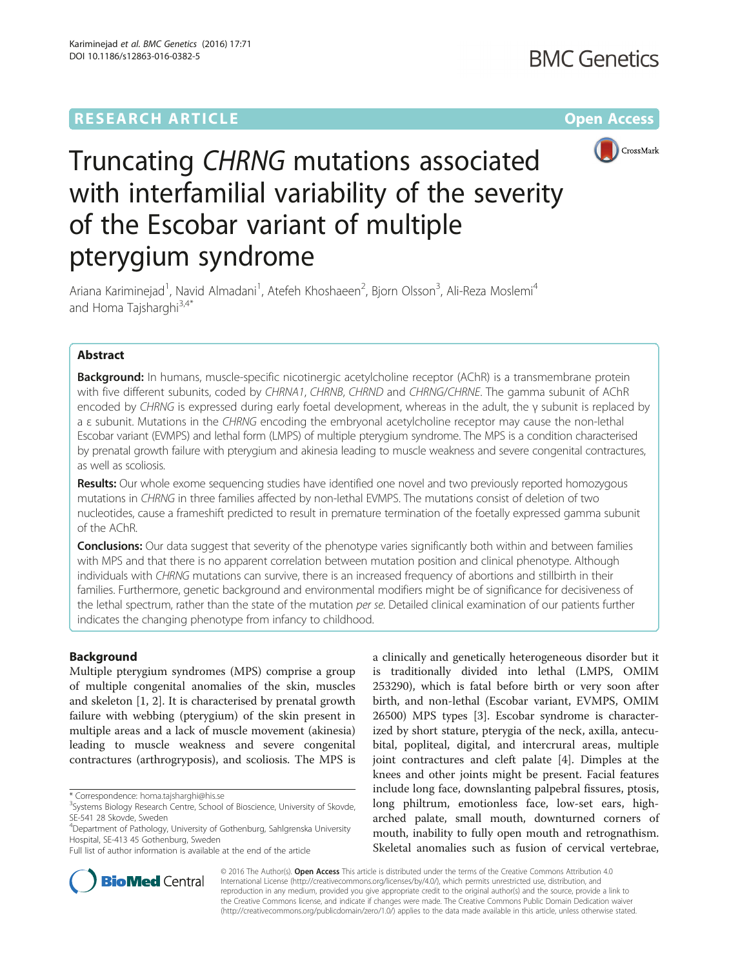## **RESEARCH ARTICLE External Structure Community Community Community Community Community Community Community Community**



# Truncating CHRNG mutations associated with interfamilial variability of the severity of the Escobar variant of multiple pterygium syndrome

Ariana Kariminejad<sup>1</sup>, Navid Almadani<sup>1</sup>, Atefeh Khoshaeen<sup>2</sup>, Bjorn Olsson<sup>3</sup>, Ali-Reza Moslemi<sup>4</sup> and Homa Tajsharghi<sup>3,4\*</sup>

## Abstract

Background: In humans, muscle-specific nicotinergic acetylcholine receptor (AChR) is a transmembrane protein with five different subunits, coded by CHRNA1, CHRNB, CHRND and CHRNG/CHRNE. The gamma subunit of AChR encoded by CHRNG is expressed during early foetal development, whereas in the adult, the γ subunit is replaced by a ε subunit. Mutations in the CHRNG encoding the embryonal acetylcholine receptor may cause the non-lethal Escobar variant (EVMPS) and lethal form (LMPS) of multiple pterygium syndrome. The MPS is a condition characterised by prenatal growth failure with pterygium and akinesia leading to muscle weakness and severe congenital contractures, as well as scoliosis.

Results: Our whole exome sequencing studies have identified one novel and two previously reported homozygous mutations in CHRNG in three families affected by non-lethal EVMPS. The mutations consist of deletion of two nucleotides, cause a frameshift predicted to result in premature termination of the foetally expressed gamma subunit of the AChR.

**Conclusions:** Our data suggest that severity of the phenotype varies significantly both within and between families with MPS and that there is no apparent correlation between mutation position and clinical phenotype. Although individuals with CHRNG mutations can survive, there is an increased frequency of abortions and stillbirth in their families. Furthermore, genetic background and environmental modifiers might be of significance for decisiveness of the lethal spectrum, rather than the state of the mutation per se. Detailed clinical examination of our patients further indicates the changing phenotype from infancy to childhood.

## Background

Multiple pterygium syndromes (MPS) comprise a group of multiple congenital anomalies of the skin, muscles and skeleton [[1](#page-6-0), [2](#page-6-0)]. It is characterised by prenatal growth failure with webbing (pterygium) of the skin present in multiple areas and a lack of muscle movement (akinesia) leading to muscle weakness and severe congenital contractures (arthrogryposis), and scoliosis. The MPS is

\* Correspondence: [homa.tajsharghi@his.se](mailto:homa.tajsharghi@his.se) <sup>3</sup>

a clinically and genetically heterogeneous disorder but it is traditionally divided into lethal (LMPS, OMIM 253290), which is fatal before birth or very soon after birth, and non-lethal (Escobar variant, EVMPS, OMIM 26500) MPS types [\[3\]](#page-6-0). Escobar syndrome is characterized by short stature, pterygia of the neck, axilla, antecubital, popliteal, digital, and intercrural areas, multiple joint contractures and cleft palate [\[4\]](#page-6-0). Dimples at the knees and other joints might be present. Facial features include long face, downslanting palpebral fissures, ptosis, long philtrum, emotionless face, low-set ears, higharched palate, small mouth, downturned corners of mouth, inability to fully open mouth and retrognathism. Skeletal anomalies such as fusion of cervical vertebrae,



© 2016 The Author(s). Open Access This article is distributed under the terms of the Creative Commons Attribution 4.0 International License [\(http://creativecommons.org/licenses/by/4.0/](http://creativecommons.org/licenses/by/4.0/)), which permits unrestricted use, distribution, and reproduction in any medium, provided you give appropriate credit to the original author(s) and the source, provide a link to the Creative Commons license, and indicate if changes were made. The Creative Commons Public Domain Dedication waiver [\(http://creativecommons.org/publicdomain/zero/1.0/](http://creativecommons.org/publicdomain/zero/1.0/)) applies to the data made available in this article, unless otherwise stated.

<sup>&</sup>lt;sup>3</sup>Systems Biology Research Centre, School of Bioscience, University of Skovde, SE-541 28 Skovde, Sweden

<sup>4</sup> Department of Pathology, University of Gothenburg, Sahlgrenska University Hospital, SE-413 45 Gothenburg, Sweden

Full list of author information is available at the end of the article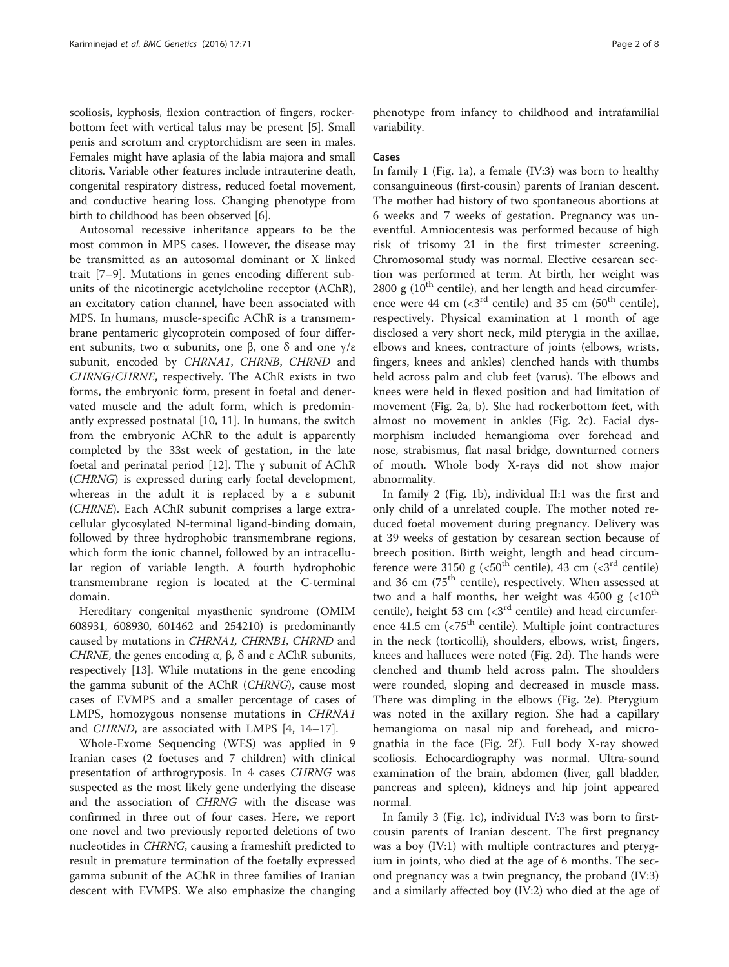scoliosis, kyphosis, flexion contraction of fingers, rockerbottom feet with vertical talus may be present [\[5](#page-6-0)]. Small penis and scrotum and cryptorchidism are seen in males. Females might have aplasia of the labia majora and small clitoris. Variable other features include intrauterine death, congenital respiratory distress, reduced foetal movement, and conductive hearing loss. Changing phenotype from birth to childhood has been observed [\[6](#page-6-0)].

Autosomal recessive inheritance appears to be the most common in MPS cases. However, the disease may be transmitted as an autosomal dominant or X linked trait [\[7](#page-7-0)–[9\]](#page-7-0). Mutations in genes encoding different subunits of the nicotinergic acetylcholine receptor (AChR), an excitatory cation channel, have been associated with MPS. In humans, muscle-specific AChR is a transmembrane pentameric glycoprotein composed of four different subunits, two α subunits, one β, one δ and one  $\gamma/\varepsilon$ subunit, encoded by CHRNA1, CHRNB, CHRND and CHRNG/CHRNE, respectively. The AChR exists in two forms, the embryonic form, present in foetal and denervated muscle and the adult form, which is predominantly expressed postnatal [[10, 11\]](#page-7-0). In humans, the switch from the embryonic AChR to the adult is apparently completed by the 33st week of gestation, in the late foetal and perinatal period [\[12](#page-7-0)]. The  $\gamma$  subunit of AChR (CHRNG) is expressed during early foetal development, whereas in the adult it is replaced by a ε subunit (CHRNE). Each AChR subunit comprises a large extracellular glycosylated N-terminal ligand-binding domain, followed by three hydrophobic transmembrane regions, which form the ionic channel, followed by an intracellular region of variable length. A fourth hydrophobic transmembrane region is located at the C-terminal domain.

Hereditary congenital myasthenic syndrome (OMIM 608931, 608930, 601462 and 254210) is predominantly caused by mutations in CHRNA1, CHRNB1, CHRND and CHRNE, the genes encoding α, β, δ and ε AChR subunits, respectively [\[13](#page-7-0)]. While mutations in the gene encoding the gamma subunit of the AChR (CHRNG), cause most cases of EVMPS and a smaller percentage of cases of LMPS, homozygous nonsense mutations in CHRNA1 and CHRND, are associated with LMPS [[4,](#page-6-0) [14](#page-7-0)–[17](#page-7-0)].

Whole-Exome Sequencing (WES) was applied in 9 Iranian cases (2 foetuses and 7 children) with clinical presentation of arthrogryposis. In 4 cases CHRNG was suspected as the most likely gene underlying the disease and the association of CHRNG with the disease was confirmed in three out of four cases. Here, we report one novel and two previously reported deletions of two nucleotides in CHRNG, causing a frameshift predicted to result in premature termination of the foetally expressed gamma subunit of the AChR in three families of Iranian descent with EVMPS. We also emphasize the changing

phenotype from infancy to childhood and intrafamilial variability.

## Cases

In family 1 (Fig. [1a](#page-2-0)), a female (IV:3) was born to healthy consanguineous (first-cousin) parents of Iranian descent. The mother had history of two spontaneous abortions at 6 weeks and 7 weeks of gestation. Pregnancy was uneventful. Amniocentesis was performed because of high risk of trisomy 21 in the first trimester screening. Chromosomal study was normal. Elective cesarean section was performed at term. At birth, her weight was 2800 g ( $10^{th}$  centile), and her length and head circumference were 44 cm ( $\langle 3^{rd}$  centile) and 35 cm ( $50^{th}$  centile), respectively. Physical examination at 1 month of age disclosed a very short neck, mild pterygia in the axillae, elbows and knees, contracture of joints (elbows, wrists, fingers, knees and ankles) clenched hands with thumbs held across palm and club feet (varus). The elbows and knees were held in flexed position and had limitation of movement (Fig. [2a, b\)](#page-2-0). She had rockerbottom feet, with almost no movement in ankles (Fig. [2c](#page-2-0)). Facial dysmorphism included hemangioma over forehead and nose, strabismus, flat nasal bridge, downturned corners of mouth. Whole body X-rays did not show major abnormality.

In family 2 (Fig. [1b](#page-2-0)), individual II:1 was the first and only child of a unrelated couple. The mother noted reduced foetal movement during pregnancy. Delivery was at 39 weeks of gestation by cesarean section because of breech position. Birth weight, length and head circumference were 3150 g ( $\langle 50^{th}$  centile), 43 cm ( $\langle 3^{rd}$  centile) and 36 cm ( $75<sup>th</sup>$  centile), respectively. When assessed at two and a half months, her weight was 4500 g  $\left($  <10<sup>th</sup> centile), height 53 cm ( $\langle 3^{rd}$  centile) and head circumference 41.5 cm ( $\langle 75^{th}$  centile). Multiple joint contractures in the neck (torticolli), shoulders, elbows, wrist, fingers, knees and halluces were noted (Fig. [2d](#page-2-0)). The hands were clenched and thumb held across palm. The shoulders were rounded, sloping and decreased in muscle mass. There was dimpling in the elbows (Fig. [2e\)](#page-2-0). Pterygium was noted in the axillary region. She had a capillary hemangioma on nasal nip and forehead, and micrognathia in the face (Fig. [2f](#page-2-0) ). Full body X-ray showed scoliosis. Echocardiography was normal. Ultra-sound examination of the brain, abdomen (liver, gall bladder, pancreas and spleen), kidneys and hip joint appeared normal.

In family 3 (Fig. [1c\)](#page-2-0), individual IV:3 was born to firstcousin parents of Iranian descent. The first pregnancy was a boy (IV:1) with multiple contractures and pterygium in joints, who died at the age of 6 months. The second pregnancy was a twin pregnancy, the proband (IV:3) and a similarly affected boy (IV:2) who died at the age of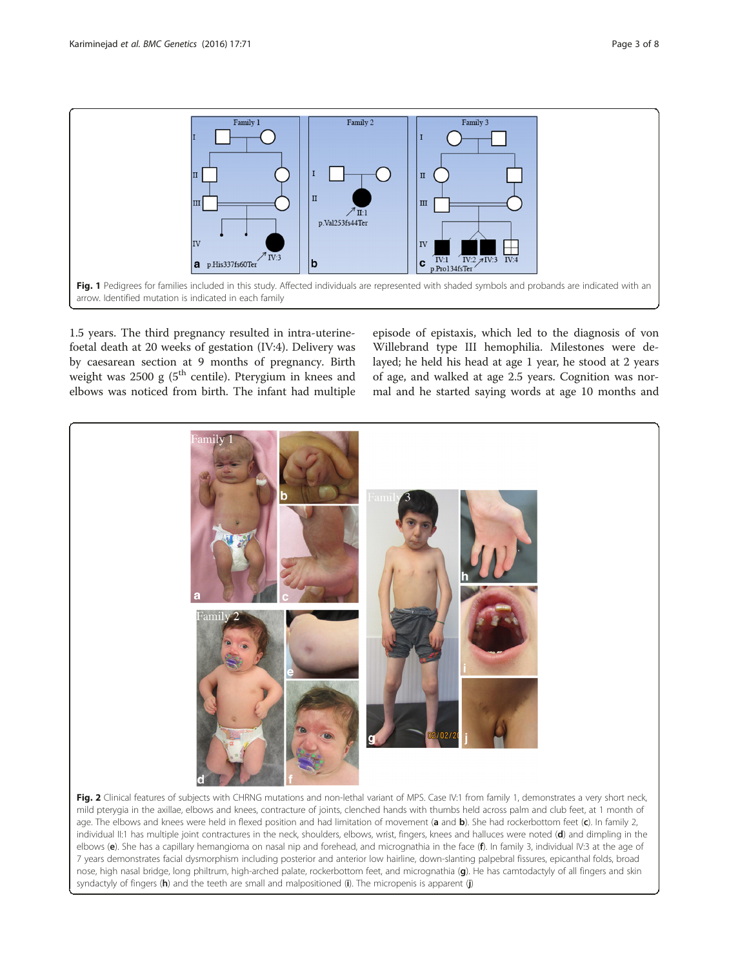<span id="page-2-0"></span>

1.5 years. The third pregnancy resulted in intra-uterinefoetal death at 20 weeks of gestation (IV:4). Delivery was by caesarean section at 9 months of pregnancy. Birth weight was  $2500 \text{ g}$  (5<sup>th</sup> centile). Pterygium in knees and elbows was noticed from birth. The infant had multiple episode of epistaxis, which led to the diagnosis of von Willebrand type III hemophilia. Milestones were delayed; he held his head at age 1 year, he stood at 2 years of age, and walked at age 2.5 years. Cognition was normal and he started saying words at age 10 months and



individual II:1 has multiple joint contractures in the neck, shoulders, elbows, wrist, fingers, knees and halluces were noted (d) and dimpling in the elbows (e). She has a capillary hemangioma on nasal nip and forehead, and micrognathia in the face (f). In family 3, individual IV:3 at the age of 7 years demonstrates facial dysmorphism including posterior and anterior low hairline, down-slanting palpebral fissures, epicanthal folds, broad nose, high nasal bridge, long philtrum, high-arched palate, rockerbottom feet, and micrognathia (g). He has camtodactyly of all fingers and skin syndactyly of fingers ( $h$ ) and the teeth are small and malpositioned (i). The micropenis is apparent (j)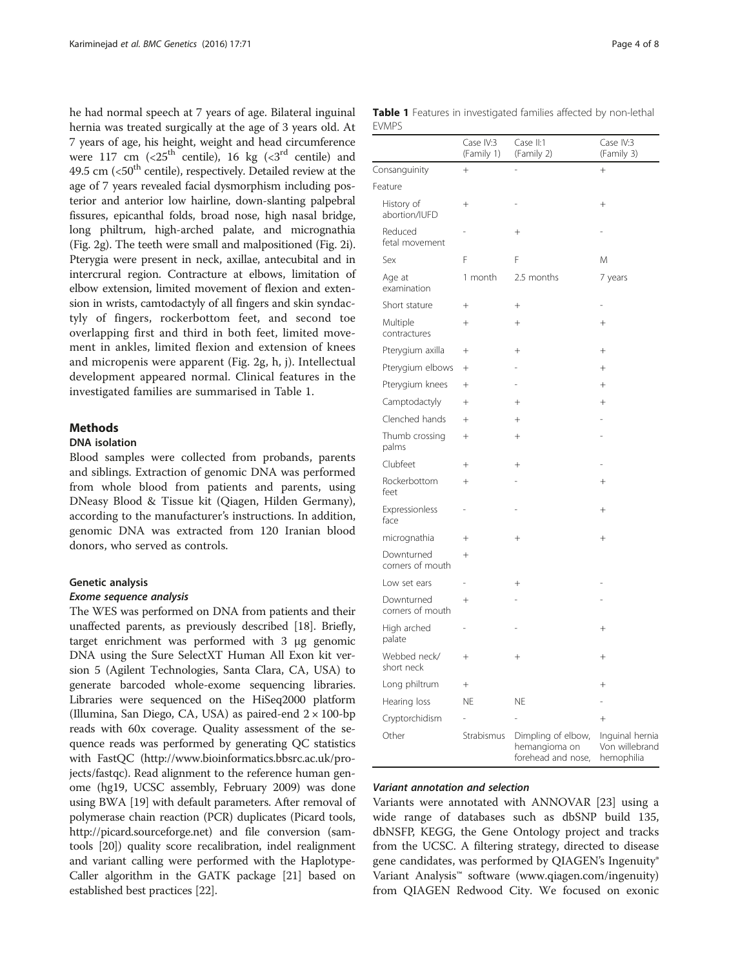he had normal speech at 7 years of age. Bilateral inguinal hernia was treated surgically at the age of 3 years old. At 7 years of age, his height, weight and head circumference were 117 cm  $\left( < 25^{\text{th}} \right)$  centile), 16 kg  $\left( < 3^{\text{rd}} \right)$  centile) and 49.5 cm ( $<$ 50<sup>th</sup> centile), respectively. Detailed review at the age of 7 years revealed facial dysmorphism including posterior and anterior low hairline, down-slanting palpebral fissures, epicanthal folds, broad nose, high nasal bridge, long philtrum, high-arched palate, and micrognathia (Fig. [2g](#page-2-0)). The teeth were small and malpositioned (Fig. [2i](#page-2-0)). Pterygia were present in neck, axillae, antecubital and in intercrural region. Contracture at elbows, limitation of elbow extension, limited movement of flexion and extension in wrists, camtodactyly of all fingers and skin syndactyly of fingers, rockerbottom feet, and second toe overlapping first and third in both feet, limited movement in ankles, limited flexion and extension of knees and micropenis were apparent (Fig. [2g](#page-2-0), [h, j](#page-2-0)). Intellectual development appeared normal. Clinical features in the investigated families are summarised in Table 1.

## **Methods**

## DNA isolation

Blood samples were collected from probands, parents and siblings. Extraction of genomic DNA was performed from whole blood from patients and parents, using DNeasy Blood & Tissue kit (Qiagen, Hilden Germany), according to the manufacturer's instructions. In addition, genomic DNA was extracted from 120 Iranian blood donors, who served as controls.

## Genetic analysis

## Exome sequence analysis

The WES was performed on DNA from patients and their unaffected parents, as previously described [\[18\]](#page-7-0). Briefly, target enrichment was performed with 3 μg genomic DNA using the Sure SelectXT Human All Exon kit version 5 (Agilent Technologies, Santa Clara, CA, USA) to generate barcoded whole-exome sequencing libraries. Libraries were sequenced on the HiSeq2000 platform (Illumina, San Diego, CA, USA) as paired-end  $2 \times 100$ -bp reads with 60x coverage. Quality assessment of the sequence reads was performed by generating QC statistics with FastQC ([http://www.bioinformatics.bbsrc.ac.uk/pro](http://www.bioinformatics.bbsrc.ac.uk/projects/fastqc)[jects/fastqc\)](http://www.bioinformatics.bbsrc.ac.uk/projects/fastqc). Read alignment to the reference human genome (hg19, UCSC assembly, February 2009) was done using BWA [\[19\]](#page-7-0) with default parameters. After removal of polymerase chain reaction (PCR) duplicates (Picard tools, <http://picard.sourceforge.net>) and file conversion (samtools [[20](#page-7-0)]) quality score recalibration, indel realignment and variant calling were performed with the Haplotype-Caller algorithm in the GATK package [[21](#page-7-0)] based on established best practices [[22](#page-7-0)].

|                                | Case IV:3<br>(Family 1) | Case II:1<br>(Family 2)                                   | Case IV:3<br>(Family 3)                         |
|--------------------------------|-------------------------|-----------------------------------------------------------|-------------------------------------------------|
| Consanguinity                  | $\ddot{}$               |                                                           | $\ddot{}$                                       |
| Feature                        |                         |                                                           |                                                 |
| History of<br>abortion/IUFD    | $^{+}$                  |                                                           | $+$                                             |
| Reduced<br>fetal movement      |                         | $^{+}$                                                    |                                                 |
| Sex                            | F                       | F                                                         | M                                               |
| Age at<br>examination          | 1 month                 | 2.5 months                                                | 7 years                                         |
| Short stature                  | $^{+}$                  | $^{+}$                                                    |                                                 |
| Multiple<br>contractures       | $+$                     | $+$                                                       | $+$                                             |
| Pterygium axilla               | $^{+}$                  | $+$                                                       | $^{+}$                                          |
| Pterygium elbows               | $^{+}$                  |                                                           | $\ddot{}$                                       |
| Pterygium knees                | $^{+}$                  |                                                           | $\ddot{}$                                       |
| Camptodactyly                  | $^{+}$                  | $^{+}$                                                    | $^{+}$                                          |
| Clenched hands                 | $^{+}$                  | $^{+}$                                                    |                                                 |
| Thumb crossing<br>palms        | $+$                     | $+$                                                       |                                                 |
| Clubfeet                       | $+$                     | $^{+}$                                                    |                                                 |
| Rockerbottom<br>feet           | $^{+}$                  |                                                           | $\ddot{}$                                       |
| Expressionless<br>face         |                         |                                                           | $^{+}$                                          |
| micrognathia                   | $^{+}$                  | $^{+}$                                                    | $^{+}$                                          |
| Downturned<br>corners of mouth | $\ddot{}$               |                                                           |                                                 |
| Low set ears                   |                         | $^{+}$                                                    |                                                 |
| Downturned<br>corners of mouth | $^{+}$                  |                                                           |                                                 |
| High arched<br>palate          |                         |                                                           | $\ddot{}$                                       |
| Webbed neck/<br>short neck     | $+$                     | $^{+}$                                                    | $^{+}$                                          |
| Long philtrum                  | $^{+}$                  |                                                           | $^{+}$                                          |
| Hearing loss                   | <b>NE</b>               | NE                                                        | L.                                              |
| Cryptorchidism                 |                         |                                                           | $^{+}$                                          |
| Other                          | Strabismus              | Dimpling of elbow,<br>hemangioma on<br>forehead and nose, | Inguinal hernia<br>Von willebrand<br>hemophilia |

## Table 1 Features in investigated families affected by non-lethal EVMPS

## Variant annotation and selection

Variants were annotated with ANNOVAR [\[23](#page-7-0)] using a wide range of databases such as dbSNP build 135, dbNSFP, KEGG, the Gene Ontology project and tracks from the UCSC. A filtering strategy, directed to disease gene candidates, was performed by QIAGEN's Ingenuity® Variant Analysis™ software ([www.qiagen.com/ingenuity](http://www.qiagen.com/ingenuity)) from QIAGEN Redwood City. We focused on exonic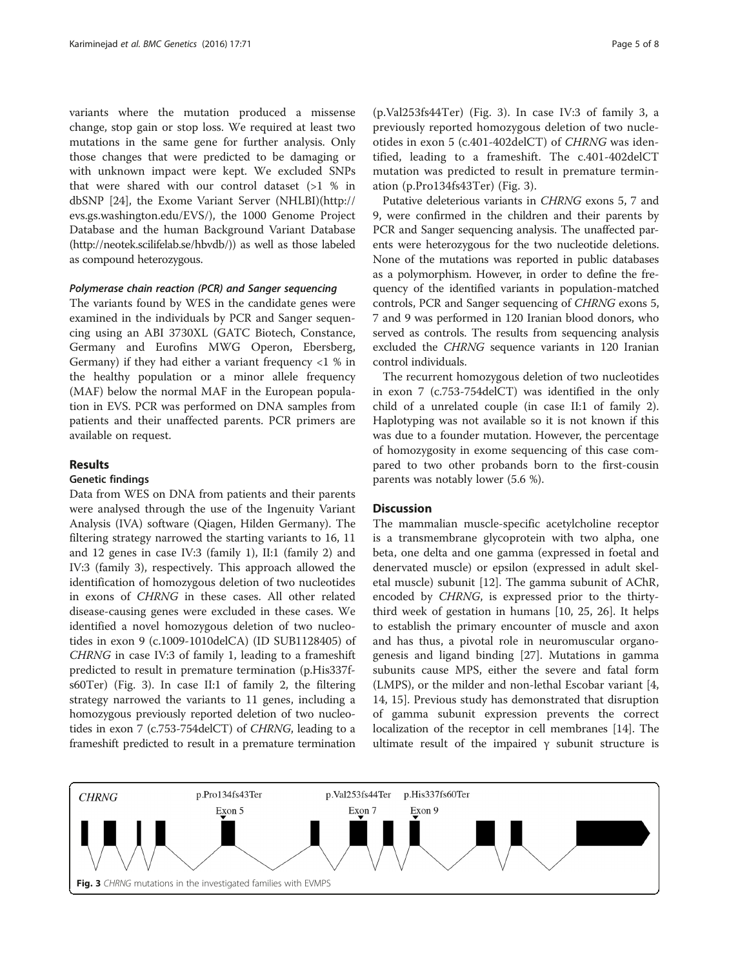variants where the mutation produced a missense change, stop gain or stop loss. We required at least two mutations in the same gene for further analysis. Only those changes that were predicted to be damaging or with unknown impact were kept. We excluded SNPs that were shared with our control dataset (>1 % in dbSNP [\[24](#page-7-0)], the Exome Variant Server (NHLBI)[\(http://](http://evs.gs.washington.edu/EVS/) [evs.gs.washington.edu/EVS/\)](http://evs.gs.washington.edu/EVS/), the 1000 Genome Project Database and the human Background Variant Database ([http://neotek.scilifelab.se/hbvdb/\)](http://neotek.scilifelab.se/hbvdb/)) as well as those labeled as compound heterozygous.

## Polymerase chain reaction (PCR) and Sanger sequencing

The variants found by WES in the candidate genes were examined in the individuals by PCR and Sanger sequencing using an ABI 3730XL (GATC Biotech, Constance, Germany and Eurofins MWG Operon, Ebersberg, Germany) if they had either a variant frequency <1 % in the healthy population or a minor allele frequency (MAF) below the normal MAF in the European population in EVS. PCR was performed on DNA samples from patients and their unaffected parents. PCR primers are available on request.

## Results

### Genetic findings

Data from WES on DNA from patients and their parents were analysed through the use of the Ingenuity Variant Analysis (IVA) software (Qiagen, Hilden Germany). The filtering strategy narrowed the starting variants to 16, 11 and 12 genes in case IV:3 (family 1), II:1 (family 2) and IV:3 (family 3), respectively. This approach allowed the identification of homozygous deletion of two nucleotides in exons of CHRNG in these cases. All other related disease-causing genes were excluded in these cases. We identified a novel homozygous deletion of two nucleotides in exon 9 (c.1009-1010delCA) (ID SUB1128405) of CHRNG in case IV:3 of family 1, leading to a frameshift predicted to result in premature termination (p.His337fs60Ter) (Fig. 3). In case II:1 of family 2, the filtering strategy narrowed the variants to 11 genes, including a homozygous previously reported deletion of two nucleotides in exon 7 (c.753-754delCT) of CHRNG, leading to a frameshift predicted to result in a premature termination

(p.Val253fs44Ter) (Fig. 3). In case IV:3 of family 3, a previously reported homozygous deletion of two nucleotides in exon 5 (c.401-402delCT) of CHRNG was identified, leading to a frameshift. The c.401-402delCT mutation was predicted to result in premature termination (p.Pro134fs43Ter) (Fig. 3).

Putative deleterious variants in CHRNG exons 5, 7 and 9, were confirmed in the children and their parents by PCR and Sanger sequencing analysis. The unaffected parents were heterozygous for the two nucleotide deletions. None of the mutations was reported in public databases as a polymorphism. However, in order to define the frequency of the identified variants in population-matched controls, PCR and Sanger sequencing of CHRNG exons 5, 7 and 9 was performed in 120 Iranian blood donors, who served as controls. The results from sequencing analysis excluded the CHRNG sequence variants in 120 Iranian control individuals.

The recurrent homozygous deletion of two nucleotides in exon 7 (c.753-754delCT) was identified in the only child of a unrelated couple (in case II:1 of family 2). Haplotyping was not available so it is not known if this was due to a founder mutation. However, the percentage of homozygosity in exome sequencing of this case compared to two other probands born to the first-cousin parents was notably lower (5.6 %).

## **Discussion**

The mammalian muscle-specific acetylcholine receptor is a transmembrane glycoprotein with two alpha, one beta, one delta and one gamma (expressed in foetal and denervated muscle) or epsilon (expressed in adult skeletal muscle) subunit [[12\]](#page-7-0). The gamma subunit of AChR, encoded by CHRNG, is expressed prior to the thirtythird week of gestation in humans [\[10](#page-7-0), [25](#page-7-0), [26\]](#page-7-0). It helps to establish the primary encounter of muscle and axon and has thus, a pivotal role in neuromuscular organogenesis and ligand binding [\[27](#page-7-0)]. Mutations in gamma subunits cause MPS, either the severe and fatal form (LMPS), or the milder and non-lethal Escobar variant [\[4](#page-6-0), [14, 15\]](#page-7-0). Previous study has demonstrated that disruption of gamma subunit expression prevents the correct localization of the receptor in cell membranes [[14](#page-7-0)]. The ultimate result of the impaired  $\gamma$  subunit structure is

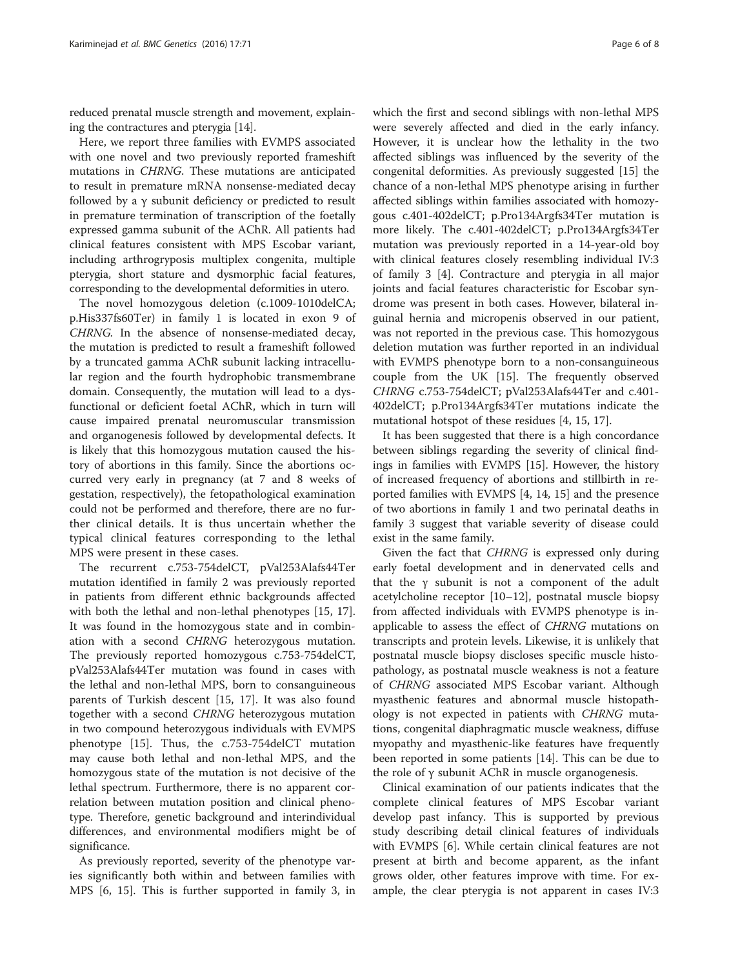reduced prenatal muscle strength and movement, explaining the contractures and pterygia [[14](#page-7-0)].

Here, we report three families with EVMPS associated with one novel and two previously reported frameshift mutations in CHRNG. These mutations are anticipated to result in premature mRNA nonsense-mediated decay followed by a  $\gamma$  subunit deficiency or predicted to result in premature termination of transcription of the foetally expressed gamma subunit of the AChR. All patients had clinical features consistent with MPS Escobar variant, including arthrogryposis multiplex congenita, multiple pterygia, short stature and dysmorphic facial features, corresponding to the developmental deformities in utero.

The novel homozygous deletion (c.1009-1010delCA; p.His337fs60Ter) in family 1 is located in exon 9 of CHRNG. In the absence of nonsense-mediated decay, the mutation is predicted to result a frameshift followed by a truncated gamma AChR subunit lacking intracellular region and the fourth hydrophobic transmembrane domain. Consequently, the mutation will lead to a dysfunctional or deficient foetal AChR, which in turn will cause impaired prenatal neuromuscular transmission and organogenesis followed by developmental defects. It is likely that this homozygous mutation caused the history of abortions in this family. Since the abortions occurred very early in pregnancy (at 7 and 8 weeks of gestation, respectively), the fetopathological examination could not be performed and therefore, there are no further clinical details. It is thus uncertain whether the typical clinical features corresponding to the lethal MPS were present in these cases.

The recurrent c.753-754delCT, pVal253Alafs44Ter mutation identified in family 2 was previously reported in patients from different ethnic backgrounds affected with both the lethal and non-lethal phenotypes [[15, 17](#page-7-0)]. It was found in the homozygous state and in combination with a second CHRNG heterozygous mutation. The previously reported homozygous c.753-754delCT, pVal253Alafs44Ter mutation was found in cases with the lethal and non-lethal MPS, born to consanguineous parents of Turkish descent [\[15, 17\]](#page-7-0). It was also found together with a second CHRNG heterozygous mutation in two compound heterozygous individuals with EVMPS phenotype [\[15](#page-7-0)]. Thus, the c.753-754delCT mutation may cause both lethal and non-lethal MPS, and the homozygous state of the mutation is not decisive of the lethal spectrum. Furthermore, there is no apparent correlation between mutation position and clinical phenotype. Therefore, genetic background and interindividual differences, and environmental modifiers might be of significance.

As previously reported, severity of the phenotype varies significantly both within and between families with MPS [\[6](#page-6-0), [15\]](#page-7-0). This is further supported in family 3, in

which the first and second siblings with non-lethal MPS were severely affected and died in the early infancy. However, it is unclear how the lethality in the two affected siblings was influenced by the severity of the congenital deformities. As previously suggested [[15\]](#page-7-0) the chance of a non-lethal MPS phenotype arising in further affected siblings within families associated with homozygous c.401-402delCT; p.Pro134Argfs34Ter mutation is more likely. The c.401-402delCT; p.Pro134Argfs34Ter mutation was previously reported in a 14-year-old boy with clinical features closely resembling individual IV:3 of family 3 [[4](#page-6-0)]. Contracture and pterygia in all major joints and facial features characteristic for Escobar syndrome was present in both cases. However, bilateral inguinal hernia and micropenis observed in our patient, was not reported in the previous case. This homozygous deletion mutation was further reported in an individual with EVMPS phenotype born to a non-consanguineous couple from the UK [[15\]](#page-7-0). The frequently observed CHRNG c.753-754delCT; pVal253Alafs44Ter and c.401- 402delCT; p.Pro134Argfs34Ter mutations indicate the mutational hotspot of these residues [\[4,](#page-6-0) [15, 17\]](#page-7-0).

It has been suggested that there is a high concordance between siblings regarding the severity of clinical findings in families with EVMPS [[15\]](#page-7-0). However, the history of increased frequency of abortions and stillbirth in reported families with EVMPS [[4,](#page-6-0) [14, 15\]](#page-7-0) and the presence of two abortions in family 1 and two perinatal deaths in family 3 suggest that variable severity of disease could exist in the same family.

Given the fact that CHRNG is expressed only during early foetal development and in denervated cells and that the γ subunit is not a component of the adult acetylcholine receptor [\[10](#page-7-0)–[12\]](#page-7-0), postnatal muscle biopsy from affected individuals with EVMPS phenotype is inapplicable to assess the effect of CHRNG mutations on transcripts and protein levels. Likewise, it is unlikely that postnatal muscle biopsy discloses specific muscle histopathology, as postnatal muscle weakness is not a feature of CHRNG associated MPS Escobar variant. Although myasthenic features and abnormal muscle histopathology is not expected in patients with CHRNG mutations, congenital diaphragmatic muscle weakness, diffuse myopathy and myasthenic-like features have frequently been reported in some patients [\[14\]](#page-7-0). This can be due to the role of γ subunit AChR in muscle organogenesis.

Clinical examination of our patients indicates that the complete clinical features of MPS Escobar variant develop past infancy. This is supported by previous study describing detail clinical features of individuals with EVMPS [\[6](#page-6-0)]. While certain clinical features are not present at birth and become apparent, as the infant grows older, other features improve with time. For example, the clear pterygia is not apparent in cases IV:3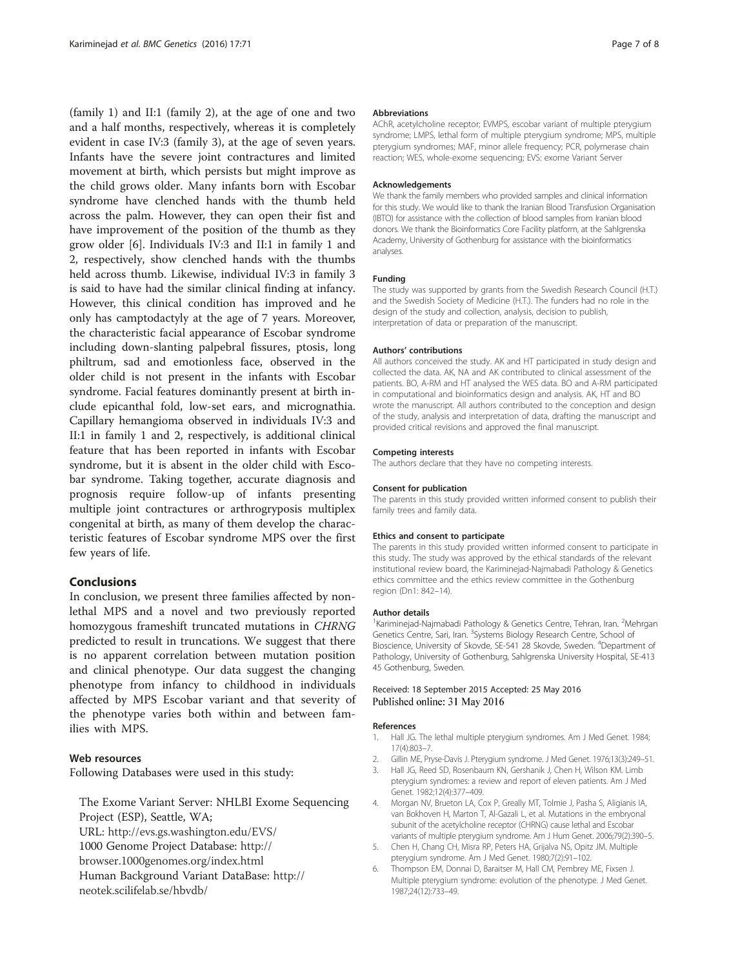<span id="page-6-0"></span>(family 1) and II:1 (family 2), at the age of one and two and a half months, respectively, whereas it is completely evident in case IV:3 (family 3), at the age of seven years. Infants have the severe joint contractures and limited movement at birth, which persists but might improve as the child grows older. Many infants born with Escobar syndrome have clenched hands with the thumb held across the palm. However, they can open their fist and have improvement of the position of the thumb as they grow older [6]. Individuals IV:3 and II:1 in family 1 and 2, respectively, show clenched hands with the thumbs held across thumb. Likewise, individual IV:3 in family 3 is said to have had the similar clinical finding at infancy. However, this clinical condition has improved and he only has camptodactyly at the age of 7 years. Moreover, the characteristic facial appearance of Escobar syndrome including down-slanting palpebral fissures, ptosis, long philtrum, sad and emotionless face, observed in the older child is not present in the infants with Escobar syndrome. Facial features dominantly present at birth include epicanthal fold, low-set ears, and micrognathia. Capillary hemangioma observed in individuals IV:3 and II:1 in family 1 and 2, respectively, is additional clinical feature that has been reported in infants with Escobar syndrome, but it is absent in the older child with Escobar syndrome. Taking together, accurate diagnosis and prognosis require follow-up of infants presenting multiple joint contractures or arthrogryposis multiplex congenital at birth, as many of them develop the characteristic features of Escobar syndrome MPS over the first few years of life.

## Conclusions

In conclusion, we present three families affected by nonlethal MPS and a novel and two previously reported homozygous frameshift truncated mutations in CHRNG predicted to result in truncations. We suggest that there is no apparent correlation between mutation position and clinical phenotype. Our data suggest the changing phenotype from infancy to childhood in individuals affected by MPS Escobar variant and that severity of the phenotype varies both within and between families with MPS.

## Web resources

Following Databases were used in this study:

The Exome Variant Server: NHLBI Exome Sequencing Project (ESP), Seattle, WA;

URL: <http://evs.gs.washington.edu/EVS/>

1000 Genome Project Database: [http://](http://browser.1000genomes.org/index.html)

[browser.1000genomes.org/index.html](http://browser.1000genomes.org/index.html)

Human Background Variant DataBase: [http://](http://neotek.scilifelab.se/hbvdb/)

[neotek.scilifelab.se/hbvdb/](http://neotek.scilifelab.se/hbvdb/)

#### Abbreviations

AChR, acetylcholine receptor; EVMPS, escobar variant of multiple pterygium syndrome; LMPS, lethal form of multiple pterygium syndrome; MPS, multiple pterygium syndromes; MAF, minor allele frequency; PCR, polymerase chain reaction; WES, whole-exome sequencing; EVS: exome Variant Server

#### Acknowledgements

We thank the family members who provided samples and clinical information for this study. We would like to thank the Iranian Blood Transfusion Organisation (IBTO) for assistance with the collection of blood samples from Iranian blood donors. We thank the Bioinformatics Core Facility platform, at the Sahlgrenska Academy, University of Gothenburg for assistance with the bioinformatics analyses.

## Funding

The study was supported by grants from the Swedish Research Council (H.T.) and the Swedish Society of Medicine (H.T.). The funders had no role in the design of the study and collection, analysis, decision to publish, interpretation of data or preparation of the manuscript.

#### Authors' contributions

All authors conceived the study. AK and HT participated in study design and collected the data. AK, NA and AK contributed to clinical assessment of the patients. BO, A-RM and HT analysed the WES data. BO and A-RM participated in computational and bioinformatics design and analysis. AK, HT and BO wrote the manuscript. All authors contributed to the conception and design of the study, analysis and interpretation of data, drafting the manuscript and provided critical revisions and approved the final manuscript.

### Competing interests

The authors declare that they have no competing interests.

#### Consent for publication

The parents in this study provided written informed consent to publish their family trees and family data.

#### Ethics and consent to participate

The parents in this study provided written informed consent to participate in this study. The study was approved by the ethical standards of the relevant institutional review board, the Kariminejad-Najmabadi Pathology & Genetics ethics committee and the ethics review committee in the Gothenburg region (Dn1: 842–14).

#### Author details

<sup>1</sup> Kariminejad-Najmabadi Pathology & Genetics Centre, Tehran, Iran. <sup>2</sup> Mehrgan Genetics Centre, Sari, Iran. <sup>3</sup>Systems Biology Research Centre, School of Bioscience, University of Skovde, SE-541 28 Skovde, Sweden. <sup>4</sup> Department of Pathology, University of Gothenburg, Sahlgrenska University Hospital, SE-413 45 Gothenburg, Sweden.

## Received: 18 September 2015 Accepted: 25 May 2016 Published online: 31 May 2016

#### References

- 1. Hall JG. The lethal multiple pterygium syndromes. Am J Med Genet. 1984; 17(4):803–7.
- 2. Gillin ME, Pryse-Davis J. Pterygium syndrome. J Med Genet. 1976;13(3):249–51.
- 3. Hall JG, Reed SD, Rosenbaum KN, Gershanik J, Chen H, Wilson KM. Limb pterygium syndromes: a review and report of eleven patients. Am J Med Genet. 1982;12(4):377–409.
- 4. Morgan NV, Brueton LA, Cox P, Greally MT, Tolmie J, Pasha S, Aligianis IA, van Bokhoven H, Marton T, Al-Gazali L, et al. Mutations in the embryonal subunit of the acetylcholine receptor (CHRNG) cause lethal and Escobar variants of multiple pterygium syndrome. Am J Hum Genet. 2006;79(2):390–5.
- 5. Chen H, Chang CH, Misra RP, Peters HA, Grijalva NS, Opitz JM. Multiple pterygium syndrome. Am J Med Genet. 1980;7(2):91–102.
- 6. Thompson EM, Donnai D, Baraitser M, Hall CM, Pembrey ME, Fixsen J. Multiple pterygium syndrome: evolution of the phenotype. J Med Genet. 1987;24(12):733–49.